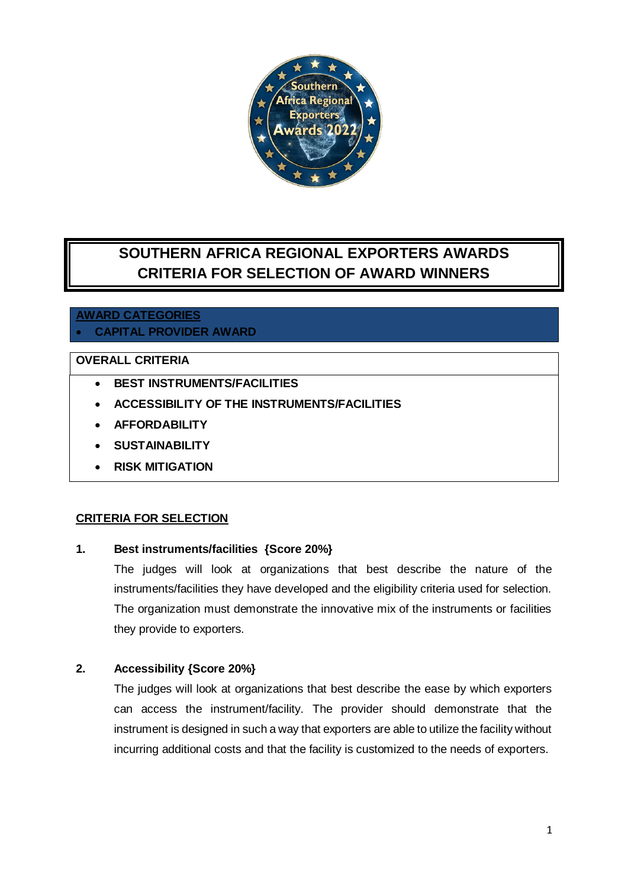

# **SOUTHERN AFRICA REGIONAL EXPORTERS AWARDS CRITERIA FOR SELECTION OF AWARD WINNERS**

# **AWARD CATEGORIES CAPITAL PROVIDER AWARD**

# **OVERALL CRITERIA**

- **BEST INSTRUMENTS/FACILITIES**
- **ACCESSIBILITY OF THE INSTRUMENTS/FACILITIES**
- **AFFORDABILITY**
- **SUSTAINABILITY**
- **RISK MITIGATION**

#### **CRITERIA FOR SELECTION**

#### **1. Best instruments/facilities {Score 20%}**

The judges will look at organizations that best describe the nature of the instruments/facilities they have developed and the eligibility criteria used for selection. The organization must demonstrate the innovative mix of the instruments or facilities they provide to exporters.

## **2. Accessibility {Score 20%}**

The judges will look at organizations that best describe the ease by which exporters can access the instrument/facility. The provider should demonstrate that the instrument is designed in such a way that exporters are able to utilize the facility without incurring additional costs and that the facility is customized to the needs of exporters.